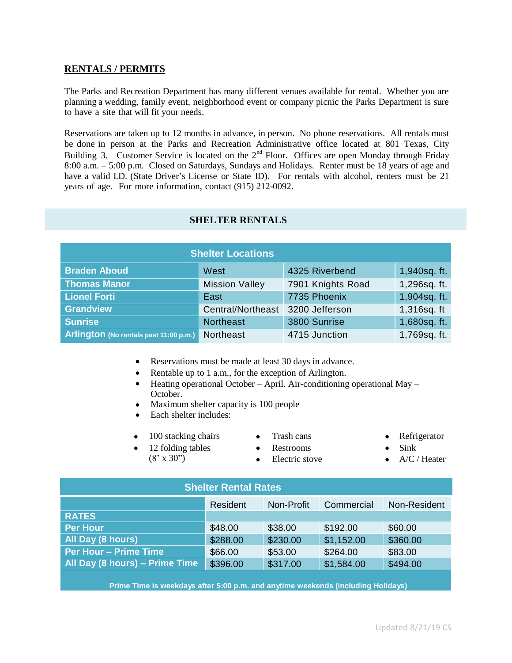#### **RENTALS / PERMITS**

The Parks and Recreation Department has many different venues available for rental. Whether you are planning a wedding, family event, neighborhood event or company picnic the Parks Department is sure to have a site that will fit your needs.

Reservations are taken up to 12 months in advance, in person. No phone reservations. All rentals must be done in person at the Parks and Recreation Administrative office located at 801 Texas, City Building 3. Customer Service is located on the  $2<sup>nd</sup>$  Floor. Offices are open Monday through Friday 8:00 a.m. – 5:00 p.m. Closed on Saturdays, Sundays and Holidays. Renter must be 18 years of age and have a valid I.D. (State Driver's License or State ID). For rentals with alcohol, renters must be 21 years of age. For more information, contact (915) 212-0092.

| <b>Shelter Locations</b>               |                       |                   |              |  |  |  |
|----------------------------------------|-----------------------|-------------------|--------------|--|--|--|
| <b>Braden Aboud</b>                    | West                  | 4325 Riverbend    | 1,940sq. ft. |  |  |  |
| <b>Thomas Manor</b>                    | <b>Mission Valley</b> | 7901 Knights Road | 1,296sq. ft. |  |  |  |
| <b>Lionel Forti</b>                    | East                  | 7735 Phoenix      | 1,904sq. ft. |  |  |  |
| <b>Grandview</b>                       | Central/Northeast     | 3200 Jefferson    | 1,316sq. ft  |  |  |  |
| <b>Sunrise</b>                         | <b>Northeast</b>      | 3800 Sunrise      | 1,680sq. ft. |  |  |  |
| Arlington (No rentals past 11:00 p.m.) | Northeast             | 4715 Junction     | 1,769sq. ft. |  |  |  |

#### **SHELTER RENTALS**

- Reservations must be made at least 30 days in advance.
- Rentable up to 1 a.m., for the exception of Arlington.
- $\bullet$  Heating operational October April. Air-conditioning operational May October.
- Maximum shelter capacity is 100 people
- Each shelter includes:
- 100 stacking chairs Trash cans Refrigerator
- 12 folding tables  $(8' \times 30'')$
- $\bullet$ Restrooms
	- Electric stove
- 
- $\bullet$ Sink
- A/C / Heater

| <b>Shelter Rental Rates</b>    |          |            |            |              |  |
|--------------------------------|----------|------------|------------|--------------|--|
|                                | Resident | Non-Profit | Commercial | Non-Resident |  |
| <b>RATES</b>                   |          |            |            |              |  |
| <b>Per Hour</b>                | \$48.00  | \$38.00    | \$192.00   | \$60.00      |  |
| All Day (8 hours)              | \$288.00 | \$230.00   | \$1,152.00 | \$360.00     |  |
| <b>Per Hour - Prime Time</b>   | \$66.00  | \$53.00    | \$264.00   | \$83.00      |  |
| All Day (8 hours) - Prime Time | \$396.00 | \$317.00   | \$1,584.00 | \$494.00     |  |
|                                |          |            |            |              |  |

 $\bullet$ 

 $\frac{1}{1500}$  n m  **Prime Time is weekdays after 5:00 p.m. and anytime weekends (including Holidays)**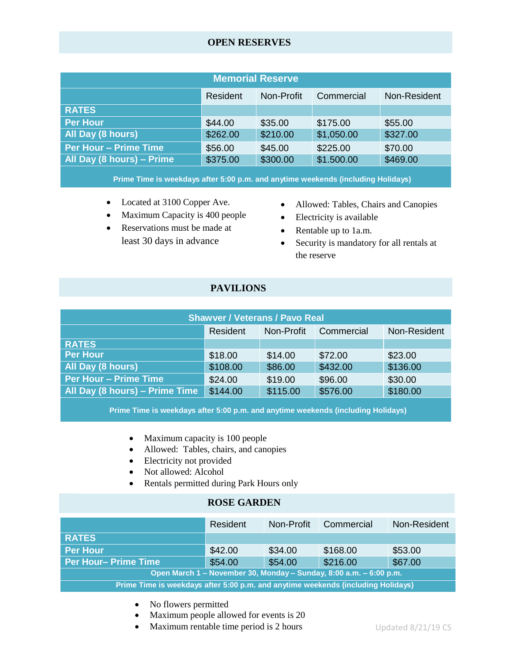## **OPEN RESERVES**

| <b>Memorial Reserve</b>   |          |            |            |              |  |
|---------------------------|----------|------------|------------|--------------|--|
|                           | Resident | Non-Profit | Commercial | Non-Resident |  |
| <b>RATES</b>              |          |            |            |              |  |
| <b>Per Hour</b>           | \$44.00  | \$35.00    | \$175.00   | \$55.00      |  |
| All Day (8 hours)         | \$262.00 | \$210.00   | \$1,050.00 | \$327.00     |  |
| Per Hour - Prime Time     | \$56.00  | \$45.00    | \$225.00   | \$70.00      |  |
| All Day (8 hours) - Prime | \$375.00 | \$300.00   | \$1.500.00 | \$469.00     |  |
|                           |          |            |            |              |  |

\$300.00 **Prime Time is weekdays after 5:00 p.m. and anytime weekends (including Holidays)**

- Located at 3100 Copper Ave.
- Maximum Capacity is 400 people
- Reservations must be made at least 30 days in advance
- Allowed: Tables, Chairs and Canopies
- Electricity is available
- Rentable up to 1a.m.
- Security is mandatory for all rentals at the reserve

## **PAVILIONS**

\$1,500.00

| <b>Shawver / Veterans / Pavo Real</b> |          |            |            |              |  |
|---------------------------------------|----------|------------|------------|--------------|--|
|                                       | Resident | Non-Profit | Commercial | Non-Resident |  |
| <b>RATES</b>                          |          |            |            |              |  |
| <b>Per Hour</b>                       | \$18.00  | \$14.00    | \$72.00    | \$23.00      |  |
| All Day (8 hours)                     | \$108.00 | \$86.00    | \$432.00   | \$136.00     |  |
| <b>Per Hour - Prime Time</b>          | \$24.00  | \$19.00    | \$96.00    | \$30.00      |  |
| All Day (8 hours) - Prime Time        | \$144.00 | \$115.00   | \$576.00   | \$180.00     |  |
|                                       |          |            |            |              |  |

, er 5:<mark>00 p.</mark>r I **Prime Time is weekdays after 5:00 p.m. and anytime weekends (including Holidays)**

- ty is  $100$  peo • Maximum capacity is 100 people
- $\frac{5}{5}$  $\bullet$  Allowed: Tables, chairs, and canopies

\$432.00

- $\bullet$  Electricity not provided
- Not allowed: Alcohol
- Rentals permitted during Park Hours only

## **ROSE GARDEN**

|                                                                                  | Resident | Non-Profit | Commercial                                                         | Non-Resident |  |
|----------------------------------------------------------------------------------|----------|------------|--------------------------------------------------------------------|--------------|--|
| <b>RATES</b>                                                                     |          |            |                                                                    |              |  |
| <b>Per Hour</b>                                                                  | \$42.00  | \$34.00    | \$168.00                                                           | \$53.00      |  |
| Per Hour-Prime Time                                                              | \$54.00  | \$54.00    | \$216.00                                                           | \$67.00      |  |
|                                                                                  |          |            | Open March 1 - November 30, Monday - Sunday, 8:00 a.m. - 6:00 p.m. |              |  |
| Prime Time is weekdays after 5:00 p.m. and anytime weekends (including Holidays) |          |            |                                                                    |              |  |
|                                                                                  |          |            |                                                                    |              |  |

- No flowers permitted
- Maximum people allowed for events is 20
- Maximum rentable time period is 2 hours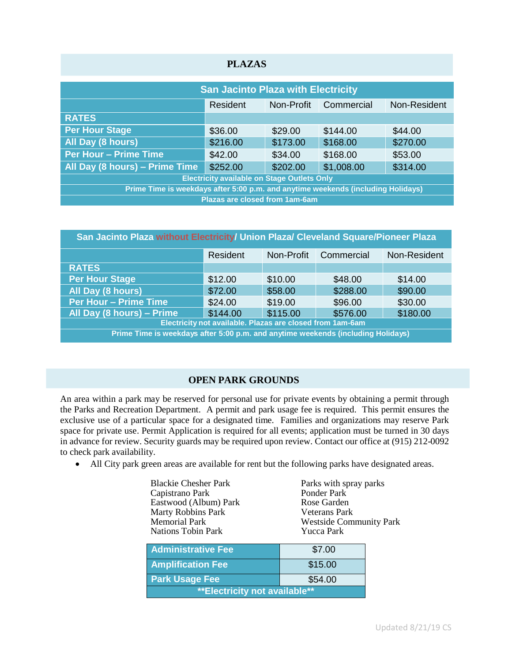| <b>PLAZAS</b>                                                                    |                                       |            |            |              |  |
|----------------------------------------------------------------------------------|---------------------------------------|------------|------------|--------------|--|
| <b>San Jacinto Plaza with Electricity</b>                                        |                                       |            |            |              |  |
|                                                                                  | Resident                              | Non-Profit | Commercial | Non-Resident |  |
| <b>RATES</b>                                                                     |                                       |            |            |              |  |
| <b>Per Hour Stage</b>                                                            | \$36.00                               | \$29.00    | \$144.00   | \$44.00      |  |
| All Day (8 hours)                                                                | \$216.00                              | \$173.00   | \$168.00   | \$270.00     |  |
| <b>Per Hour - Prime Time</b>                                                     | \$42.00                               | \$34.00    | \$168.00   | \$53.00      |  |
| All Day (8 hours) - Prime Time                                                   | \$252.00                              | \$202.00   | \$1,008.00 | \$314.00     |  |
| <b>Electricity available on Stage Outlets Only</b>                               |                                       |            |            |              |  |
| Prime Time is weekdays after 5:00 p.m. and anytime weekends (including Holidays) |                                       |            |            |              |  |
|                                                                                  | <b>Plazas are closed from 1am-6am</b> |            |            |              |  |

| San Jacinto Plaza without Electricity/ Union Plaza/ Cleveland Square/Pioneer Plaza |          |            |            |              |  |
|------------------------------------------------------------------------------------|----------|------------|------------|--------------|--|
|                                                                                    | Resident | Non-Profit | Commercial | Non-Resident |  |
| <b>RATES</b>                                                                       |          |            |            |              |  |
| <b>Per Hour Stage</b>                                                              | \$12.00  | \$10.00    | \$48.00    | \$14.00      |  |
| All Day (8 hours)                                                                  | \$72.00  | \$58.00    | \$288.00   | \$90.00      |  |
| Per Hour - Prime Time                                                              | \$24.00  | \$19.00    | \$96.00    | \$30.00      |  |
| All Day (8 hours) - Prime                                                          | \$144.00 | \$115.00   | \$576.00   | \$180.00     |  |
| Electricity not available. Plazas are closed from 1am-6am                          |          |            |            |              |  |
| Prime Time is weekdays after 5:00 p.m. and anytime weekends (including Holidays)   |          |            |            |              |  |
|                                                                                    |          |            |            |              |  |

# **OPEN PARK GROUNDS**

An area within a park may be reserved for personal use for private events by obtaining a permit through the Parks and Recreation Department. A permit and park usage fee is required. This permit ensures the exclusive use of a particular space for a designated time. Families and organizations may reserve Park space for private use. Permit Application is required for all events; application must be turned in 30 days in advance for review. Security guards may be required upon review. Contact our office at (915) 212-0092 to check park availability.

All City park green areas are available for rent but the following parks have designated areas.

| <b>Blackie Chesher Park</b>    | Parks with spray parks         |  |
|--------------------------------|--------------------------------|--|
| Capistrano Park                | Ponder Park                    |  |
| Eastwood (Album) Park          | Rose Garden                    |  |
| <b>Marty Robbins Park</b>      | <b>Veterans Park</b>           |  |
| <b>Memorial Park</b>           | <b>Westside Community Park</b> |  |
| <b>Nations Tobin Park</b>      | Yucca Park                     |  |
|                                |                                |  |
| <b>Administrative Fee</b>      | \$7.00                         |  |
| <b>Amplification Fee</b>       | \$15.00                        |  |
|                                |                                |  |
| <b>Park Usage Fee</b>          | \$54.00                        |  |
| ** Electricity not available** |                                |  |